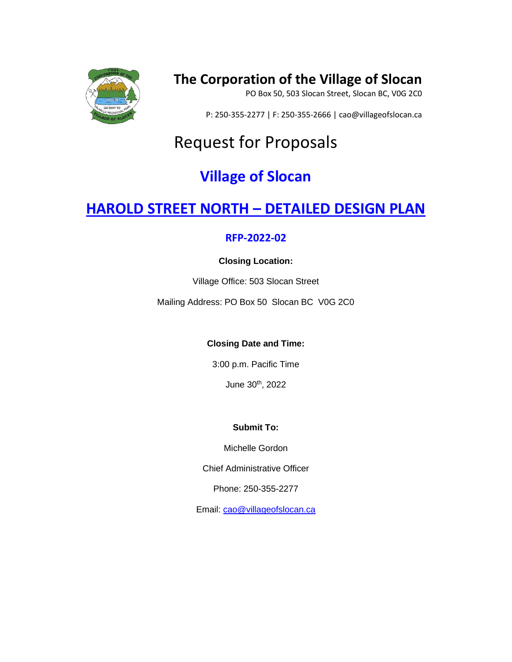

# **The Corporation of the Village of Slocan**

PO Box 50, 503 Slocan Street, Slocan BC, V0G 2C0

P: 250-355-2277 | F: 250-355-2666 | cao@villageofslocan.ca

# Request for Proposals

# **Village of Slocan**

# **HAROLD STREET NORTH – DETAILED DESIGN PLAN**

### **RFP-2022-02**

**Closing Location:**

Village Office: 503 Slocan Street

Mailing Address: PO Box 50 Slocan BC V0G 2C0

#### **Closing Date and Time:**

3:00 p.m. Pacific Time

June 30th, 2022

#### **Submit To:**

Michelle Gordon

Chief Administrative Officer

Phone: 250-355-2277

Email: [cao@villageofslocan.ca](mailto:cao@villageofslocan.ca)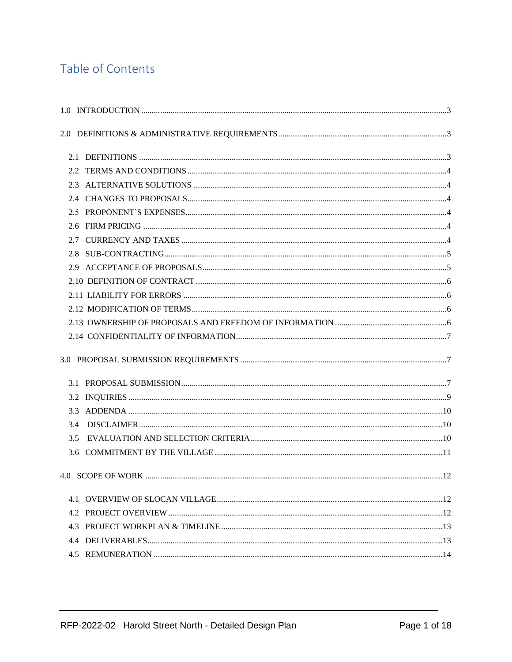## Table of Contents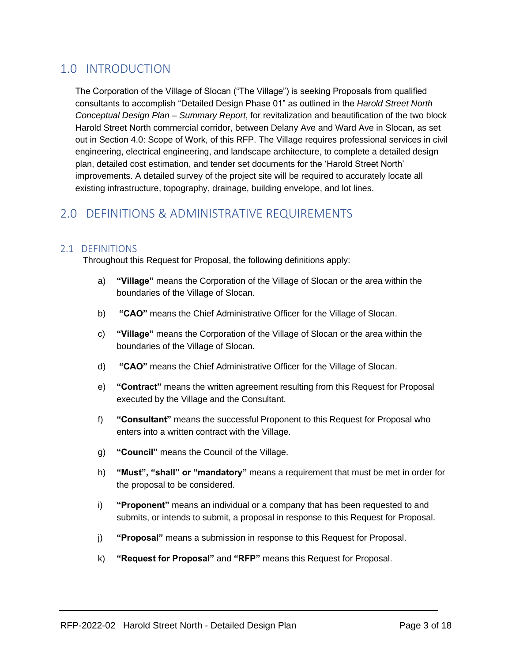## <span id="page-3-0"></span>1.0 INTRODUCTION

The Corporation of the Village of Slocan ("The Village") is seeking Proposals from qualified consultants to accomplish "Detailed Design Phase 01" as outlined in the *Harold Street North Conceptual Design Plan – Summary Report*, for revitalization and beautification of the two block Harold Street North commercial corridor, between Delany Ave and Ward Ave in Slocan, as set out in Section 4.0: Scope of Work, of this RFP. The Village requires professional services in civil engineering, electrical engineering, and landscape architecture, to complete a detailed design plan, detailed cost estimation, and tender set documents for the 'Harold Street North' improvements. A detailed survey of the project site will be required to accurately locate all existing infrastructure, topography, drainage, building envelope, and lot lines.

## <span id="page-3-1"></span>2.0 DEFINITIONS & ADMINISTRATIVE REQUIREMENTS

#### <span id="page-3-2"></span>2.1 DEFINITIONS

Throughout this Request for Proposal, the following definitions apply:

- a) **"Village"** means the Corporation of the Village of Slocan or the area within the boundaries of the Village of Slocan.
- b) **"CAO"** means the Chief Administrative Officer for the Village of Slocan.
- c) **"Village"** means the Corporation of the Village of Slocan or the area within the boundaries of the Village of Slocan.
- d) **"CAO"** means the Chief Administrative Officer for the Village of Slocan.
- e) **"Contract"** means the written agreement resulting from this Request for Proposal executed by the Village and the Consultant.
- f) **"Consultant"** means the successful Proponent to this Request for Proposal who enters into a written contract with the Village.
- g) **"Council"** means the Council of the Village.
- h) **"Must", "shall" or "mandatory"** means a requirement that must be met in order for the proposal to be considered.
- i) **"Proponent"** means an individual or a company that has been requested to and submits, or intends to submit, a proposal in response to this Request for Proposal.
- j) **"Proposal"** means a submission in response to this Request for Proposal.
- k) **"Request for Proposal"** and **"RFP"** means this Request for Proposal.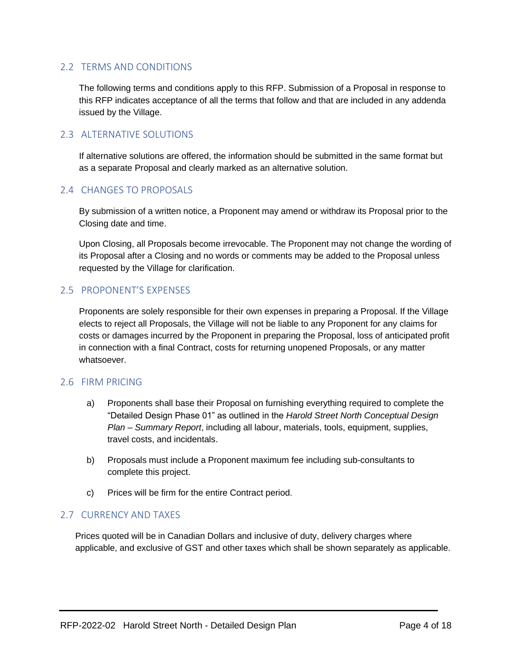#### <span id="page-4-0"></span>2.2 TERMS AND CONDITIONS

The following terms and conditions apply to this RFP. Submission of a Proposal in response to this RFP indicates acceptance of all the terms that follow and that are included in any addenda issued by the Village.

#### <span id="page-4-1"></span>2.3 ALTERNATIVE SOLUTIONS

If alternative solutions are offered, the information should be submitted in the same format but as a separate Proposal and clearly marked as an alternative solution.

#### <span id="page-4-2"></span>2.4 CHANGES TO PROPOSALS

By submission of a written notice, a Proponent may amend or withdraw its Proposal prior to the Closing date and time.

Upon Closing, all Proposals become irrevocable. The Proponent may not change the wording of its Proposal after a Closing and no words or comments may be added to the Proposal unless requested by the Village for clarification.

#### <span id="page-4-3"></span>2.5 PROPONENT'S EXPENSES

Proponents are solely responsible for their own expenses in preparing a Proposal. If the Village elects to reject all Proposals, the Village will not be liable to any Proponent for any claims for costs or damages incurred by the Proponent in preparing the Proposal, loss of anticipated profit in connection with a final Contract, costs for returning unopened Proposals, or any matter whatsoever.

#### <span id="page-4-4"></span>2.6 FIRM PRICING

- a) Proponents shall base their Proposal on furnishing everything required to complete the "Detailed Design Phase 01" as outlined in the *Harold Street North Conceptual Design Plan – Summary Report*, including all labour, materials, tools, equipment, supplies, travel costs, and incidentals.
- b) Proposals must include a Proponent maximum fee including sub-consultants to complete this project.
- <span id="page-4-6"></span>c) Prices will be firm for the entire Contract period.

#### <span id="page-4-5"></span>2.7 CURRENCY AND TAXES

Prices quoted will be in Canadian Dollars and inclusive of duty, delivery charges where applicable, and exclusive of GST and other taxes which shall be shown separately as applicable.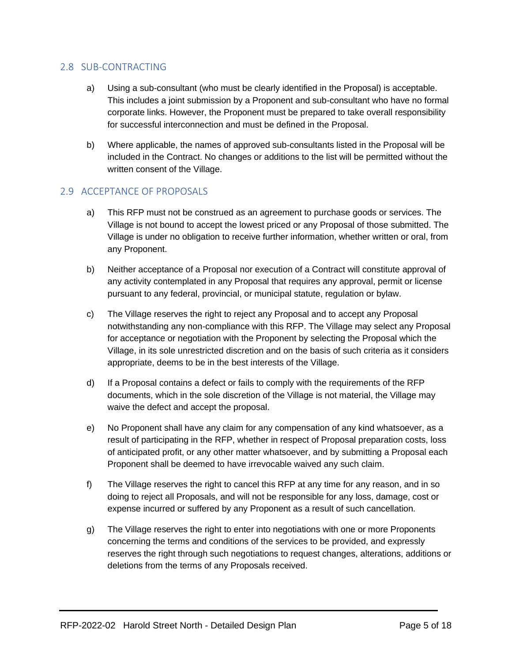#### 2.8 SUB-CONTRACTING

- a) Using a sub-consultant (who must be clearly identified in the Proposal) is acceptable. This includes a joint submission by a Proponent and sub-consultant who have no formal corporate links. However, the Proponent must be prepared to take overall responsibility for successful interconnection and must be defined in the Proposal.
- b) Where applicable, the names of approved sub-consultants listed in the Proposal will be included in the Contract. No changes or additions to the list will be permitted without the written consent of the Village.

#### <span id="page-5-0"></span>2.9 ACCEPTANCE OF PROPOSALS

- a) This RFP must not be construed as an agreement to purchase goods or services. The Village is not bound to accept the lowest priced or any Proposal of those submitted. The Village is under no obligation to receive further information, whether written or oral, from any Proponent.
- b) Neither acceptance of a Proposal nor execution of a Contract will constitute approval of any activity contemplated in any Proposal that requires any approval, permit or license pursuant to any federal, provincial, or municipal statute, regulation or bylaw.
- c) The Village reserves the right to reject any Proposal and to accept any Proposal notwithstanding any non-compliance with this RFP. The Village may select any Proposal for acceptance or negotiation with the Proponent by selecting the Proposal which the Village, in its sole unrestricted discretion and on the basis of such criteria as it considers appropriate, deems to be in the best interests of the Village.
- d) If a Proposal contains a defect or fails to comply with the requirements of the RFP documents, which in the sole discretion of the Village is not material, the Village may waive the defect and accept the proposal.
- e) No Proponent shall have any claim for any compensation of any kind whatsoever, as a result of participating in the RFP, whether in respect of Proposal preparation costs, loss of anticipated profit, or any other matter whatsoever, and by submitting a Proposal each Proponent shall be deemed to have irrevocable waived any such claim.
- f) The Village reserves the right to cancel this RFP at any time for any reason, and in so doing to reject all Proposals, and will not be responsible for any loss, damage, cost or expense incurred or suffered by any Proponent as a result of such cancellation.
- g) The Village reserves the right to enter into negotiations with one or more Proponents concerning the terms and conditions of the services to be provided, and expressly reserves the right through such negotiations to request changes, alterations, additions or deletions from the terms of any Proposals received.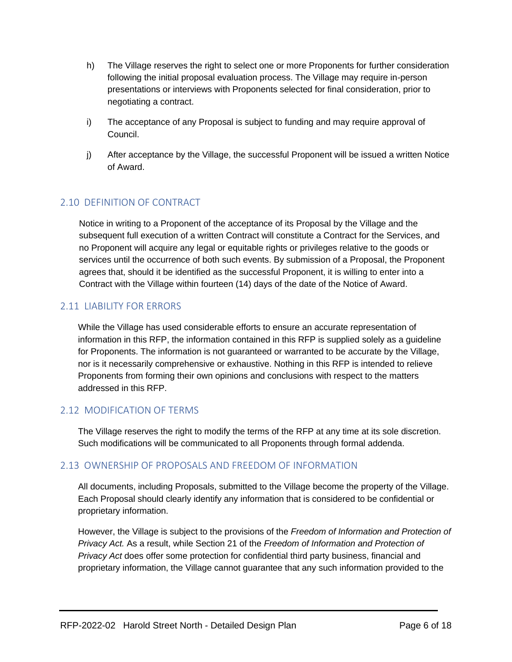- h) The Village reserves the right to select one or more Proponents for further consideration following the initial proposal evaluation process. The Village may require in-person presentations or interviews with Proponents selected for final consideration, prior to negotiating a contract.
- i) The acceptance of any Proposal is subject to funding and may require approval of Council.
- j) After acceptance by the Village, the successful Proponent will be issued a written Notice of Award.

#### <span id="page-6-0"></span>2.10 DEFINITION OF CONTRACT

Notice in writing to a Proponent of the acceptance of its Proposal by the Village and the subsequent full execution of a written Contract will constitute a Contract for the Services, and no Proponent will acquire any legal or equitable rights or privileges relative to the goods or services until the occurrence of both such events. By submission of a Proposal, the Proponent agrees that, should it be identified as the successful Proponent, it is willing to enter into a Contract with the Village within fourteen (14) days of the date of the Notice of Award.

#### <span id="page-6-1"></span>2.11 LIABILITY FOR ERRORS

While the Village has used considerable efforts to ensure an accurate representation of information in this RFP, the information contained in this RFP is supplied solely as a guideline for Proponents. The information is not guaranteed or warranted to be accurate by the Village, nor is it necessarily comprehensive or exhaustive. Nothing in this RFP is intended to relieve Proponents from forming their own opinions and conclusions with respect to the matters addressed in this RFP.

#### <span id="page-6-2"></span>2.12 MODIFICATION OF TERMS

The Village reserves the right to modify the terms of the RFP at any time at its sole discretion. Such modifications will be communicated to all Proponents through formal addenda.

#### <span id="page-6-3"></span>2.13 OWNERSHIP OF PROPOSALS AND FREEDOM OF INFORMATION

All documents, including Proposals, submitted to the Village become the property of the Village. Each Proposal should clearly identify any information that is considered to be confidential or proprietary information.

However, the Village is subject to the provisions of the *Freedom of Information and Protection of Privacy Act.* As a result, while Section 21 of the *Freedom of Information and Protection of Privacy Act* does offer some protection for confidential third party business, financial and proprietary information, the Village cannot guarantee that any such information provided to the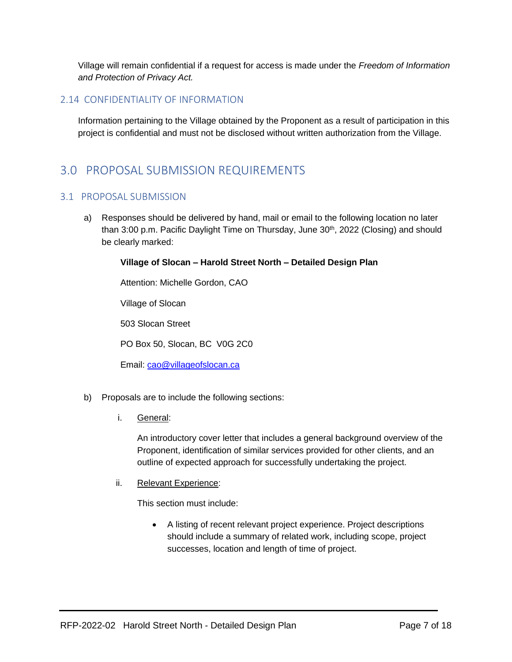Village will remain confidential if a request for access is made under the *Freedom of Information and Protection of Privacy Act.*

#### <span id="page-7-0"></span>2.14 CONFIDENTIALITY OF INFORMATION

Information pertaining to the Village obtained by the Proponent as a result of participation in this project is confidential and must not be disclosed without written authorization from the Village.

### <span id="page-7-1"></span>3.0 PROPOSAL SUBMISSION REQUIREMENTS

#### <span id="page-7-2"></span>3.1 PROPOSAL SUBMISSION

a) Responses should be delivered by hand, mail or email to the following location no later than 3:00 p.m. Pacific Daylight Time on Thursday, June 30<sup>th</sup>, 2022 (Closing) and should be clearly marked:

#### **Village of Slocan – Harold Street North – Detailed Design Plan**

Attention: Michelle Gordon, CAO

Village of Slocan

503 Slocan Street

PO Box 50, Slocan, BC V0G 2C0

Email: [cao@villageofslocan.ca](mailto:cao@villageofslocan.ca)

- b) Proposals are to include the following sections:
	- i. General:

An introductory cover letter that includes a general background overview of the Proponent, identification of similar services provided for other clients, and an outline of expected approach for successfully undertaking the project.

ii. Relevant Experience:

This section must include:

• A listing of recent relevant project experience. Project descriptions should include a summary of related work, including scope, project successes, location and length of time of project.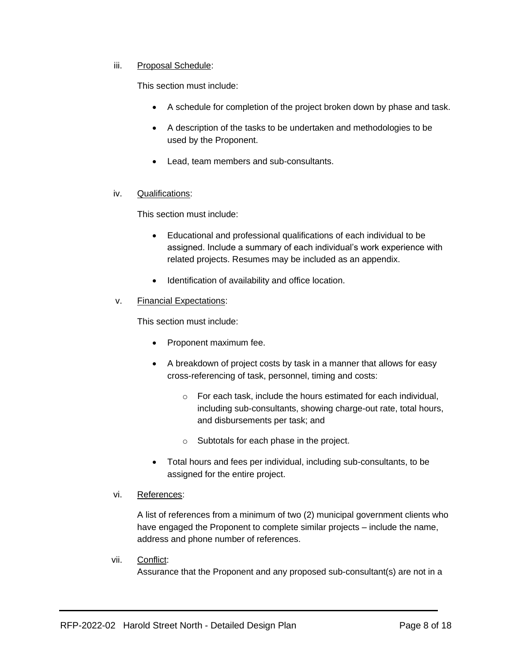#### iii. Proposal Schedule:

This section must include:

- A schedule for completion of the project broken down by phase and task.
- A description of the tasks to be undertaken and methodologies to be used by the Proponent.
- Lead, team members and sub-consultants.

#### iv. Qualifications:

This section must include:

- Educational and professional qualifications of each individual to be assigned. Include a summary of each individual's work experience with related projects. Resumes may be included as an appendix.
- Identification of availability and office location.

#### v. Financial Expectations:

This section must include:

- Proponent maximum fee.
- A breakdown of project costs by task in a manner that allows for easy cross-referencing of task, personnel, timing and costs:
	- o For each task, include the hours estimated for each individual, including sub-consultants, showing charge-out rate, total hours, and disbursements per task; and
	- o Subtotals for each phase in the project.
- Total hours and fees per individual, including sub-consultants, to be assigned for the entire project.

#### vi. References:

A list of references from a minimum of two (2) municipal government clients who have engaged the Proponent to complete similar projects – include the name, address and phone number of references.

vii. Conflict:

Assurance that the Proponent and any proposed sub-consultant(s) are not in a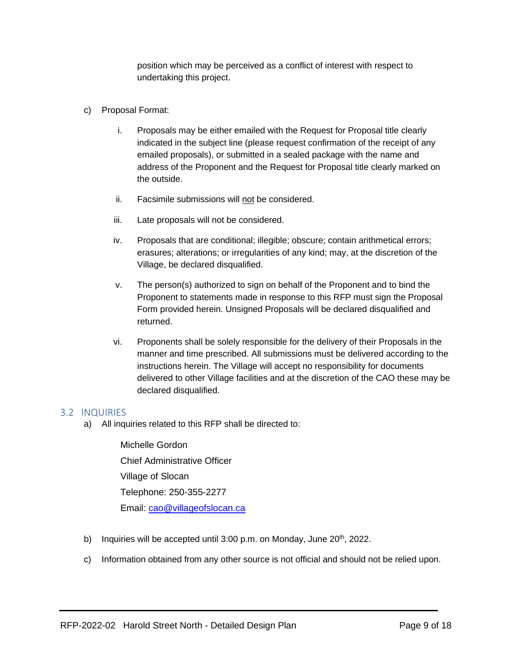position which may be perceived as a conflict of interest with respect to undertaking this project.

- c) Proposal Format:
	- i. Proposals may be either emailed with the Request for Proposal title clearly indicated in the subject line (please request confirmation of the receipt of any emailed proposals), or submitted in a sealed package with the name and address of the Proponent and the Request for Proposal title clearly marked on the outside.
	- ii. Facsimile submissions will not be considered.
	- iii. Late proposals will not be considered.
	- iv. Proposals that are conditional; illegible; obscure; contain arithmetical errors; erasures; alterations; or irregularities of any kind; may, at the discretion of the Village, be declared disqualified.
	- v. The person(s) authorized to sign on behalf of the Proponent and to bind the Proponent to statements made in response to this RFP must sign the Proposal Form provided herein. Unsigned Proposals will be declared disqualified and returned.
	- vi. Proponents shall be solely responsible for the delivery of their Proposals in the manner and time prescribed. All submissions must be delivered according to the instructions herein. The Village will accept no responsibility for documents delivered to other Village facilities and at the discretion of the CAO these may be declared disqualified.

#### <span id="page-9-0"></span>3.2 INQUIRIES

a) All inquiries related to this RFP shall be directed to:

Michelle Gordon Chief Administrative Officer Village of Slocan Telephone: 250-355-2277 Email: [cao@villageofslocan.ca](mailto:cao@villageofslocan.ca)

- b) Inquiries will be accepted until  $3:00$  p.m. on Monday, June  $20^{th}$ , 2022.
- c) Information obtained from any other source is not official and should not be relied upon.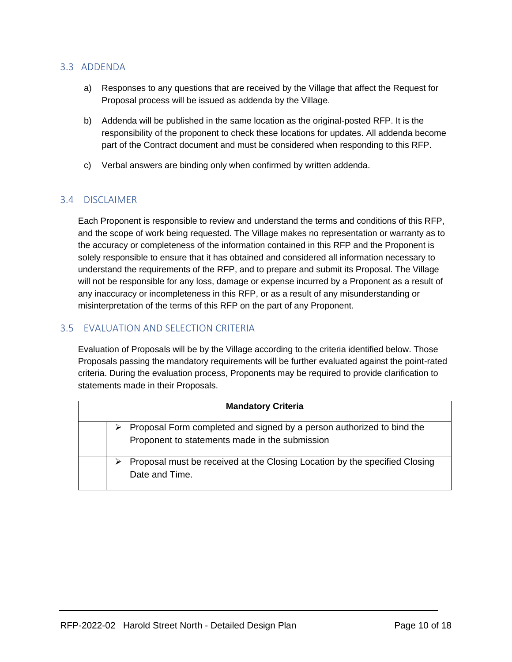#### <span id="page-10-0"></span>3.3 ADDENDA

- a) Responses to any questions that are received by the Village that affect the Request for Proposal process will be issued as addenda by the Village.
- b) Addenda will be published in the same location as the original-posted RFP. It is the responsibility of the proponent to check these locations for updates. All addenda become part of the Contract document and must be considered when responding to this RFP.
- c) Verbal answers are binding only when confirmed by written addenda.

#### <span id="page-10-1"></span>3.4 DISCLAIMER

Each Proponent is responsible to review and understand the terms and conditions of this RFP, and the scope of work being requested. The Village makes no representation or warranty as to the accuracy or completeness of the information contained in this RFP and the Proponent is solely responsible to ensure that it has obtained and considered all information necessary to understand the requirements of the RFP, and to prepare and submit its Proposal. The Village will not be responsible for any loss, damage or expense incurred by a Proponent as a result of any inaccuracy or incompleteness in this RFP, or as a result of any misunderstanding or misinterpretation of the terms of this RFP on the part of any Proponent.

#### <span id="page-10-2"></span>3.5 EVALUATION AND SELECTION CRITERIA

Evaluation of Proposals will be by the Village according to the criteria identified below. Those Proposals passing the mandatory requirements will be further evaluated against the point-rated criteria. During the evaluation process, Proponents may be required to provide clarification to statements made in their Proposals.

| <b>Mandatory Criteria</b> |                                                                                                                         |  |  |  |
|---------------------------|-------------------------------------------------------------------------------------------------------------------------|--|--|--|
|                           | Proposal Form completed and signed by a person authorized to bind the<br>Proponent to statements made in the submission |  |  |  |
|                           | Proposal must be received at the Closing Location by the specified Closing<br>Date and Time.                            |  |  |  |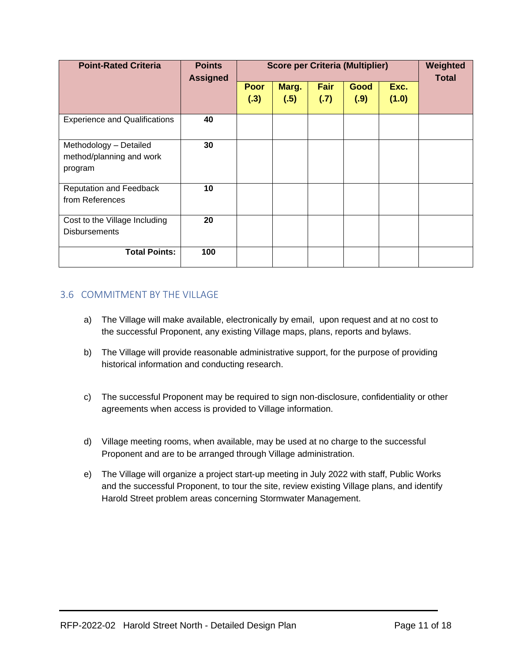| <b>Point-Rated Criteria</b>          | <b>Points</b><br><b>Assigned</b> | <b>Score per Criteria (Multiplier)</b> |       |             |      | Weighted<br><b>Total</b> |  |
|--------------------------------------|----------------------------------|----------------------------------------|-------|-------------|------|--------------------------|--|
|                                      |                                  | <b>Poor</b>                            | Marg. | <b>Fair</b> | Good | Exc.                     |  |
|                                      |                                  | (.3)                                   | (.5)  | ( .7)       | (.9) | (1.0)                    |  |
| <b>Experience and Qualifications</b> | 40                               |                                        |       |             |      |                          |  |
| Methodology - Detailed               | 30                               |                                        |       |             |      |                          |  |
| method/planning and work             |                                  |                                        |       |             |      |                          |  |
| program                              |                                  |                                        |       |             |      |                          |  |
| <b>Reputation and Feedback</b>       | 10                               |                                        |       |             |      |                          |  |
| from References                      |                                  |                                        |       |             |      |                          |  |
| Cost to the Village Including        | 20                               |                                        |       |             |      |                          |  |
| <b>Disbursements</b>                 |                                  |                                        |       |             |      |                          |  |
| <b>Total Points:</b>                 | 100                              |                                        |       |             |      |                          |  |

#### <span id="page-11-0"></span>3.6 COMMITMENT BY THE VILLAGE

- a) The Village will make available, electronically by email, upon request and at no cost to the successful Proponent, any existing Village maps, plans, reports and bylaws.
- b) The Village will provide reasonable administrative support, for the purpose of providing historical information and conducting research.
- c) The successful Proponent may be required to sign non-disclosure, confidentiality or other agreements when access is provided to Village information.
- d) Village meeting rooms, when available, may be used at no charge to the successful Proponent and are to be arranged through Village administration.
- e) The Village will organize a project start-up meeting in July 2022 with staff, Public Works and the successful Proponent, to tour the site, review existing Village plans, and identify Harold Street problem areas concerning Stormwater Management.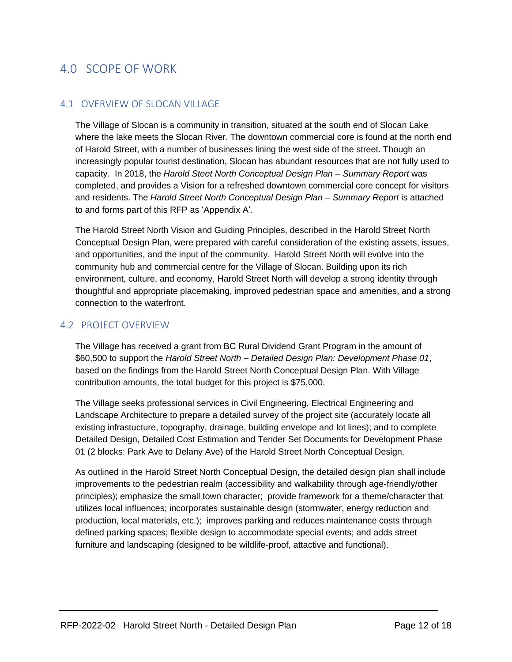### <span id="page-12-0"></span>4.0 SCOPE OF WORK

#### <span id="page-12-1"></span>4.1 OVERVIEW OF SLOCAN VILLAGE

The Village of Slocan is a community in transition, situated at the south end of Slocan Lake where the lake meets the Slocan River. The downtown commercial core is found at the north end of Harold Street, with a number of businesses lining the west side of the street. Though an increasingly popular tourist destination, Slocan has abundant resources that are not fully used to capacity. In 2018, the *Harold Steet North Conceptual Design Plan – Summary Report* was completed, and provides a Vision for a refreshed downtown commercial core concept for visitors and residents. The *Harold Street North Conceptual Design Plan – Summary Report* is attached to and forms part of this RFP as 'Appendix A'.

The Harold Street North Vision and Guiding Principles, described in the Harold Street North Conceptual Design Plan, were prepared with careful consideration of the existing assets, issues, and opportunities, and the input of the community. Harold Street North will evolve into the community hub and commercial centre for the Village of Slocan. Building upon its rich environment, culture, and economy, Harold Street North will develop a strong identity through thoughtful and appropriate placemaking, improved pedestrian space and amenities, and a strong connection to the waterfront.

#### <span id="page-12-2"></span>4.2 PROJECT OVERVIEW

The Village has received a grant from BC Rural Dividend Grant Program in the amount of \$60,500 to support the *Harold Street North – Detailed Design Plan: Development Phase 01*, based on the findings from the Harold Street North Conceptual Design Plan. With Village contribution amounts, the total budget for this project is \$75,000.

The Village seeks professional services in Civil Engineering, Electrical Engineering and Landscape Architecture to prepare a detailed survey of the project site (accurately locate all existing infrastucture, topography, drainage, building envelope and lot lines); and to complete Detailed Design, Detailed Cost Estimation and Tender Set Documents for Development Phase 01 (2 blocks: Park Ave to Delany Ave) of the Harold Street North Conceptual Design.

As outlined in the Harold Street North Conceptual Design, the detailed design plan shall include improvements to the pedestrian realm (accessibility and walkability through age-friendly/other principles); emphasize the small town character; provide framework for a theme/character that utilizes local influences; incorporates sustainable design (stormwater, energy reduction and production, local materials, etc.); improves parking and reduces maintenance costs through defined parking spaces; flexible design to accommodate special events; and adds street furniture and landscaping (designed to be wildlife-proof, attactive and functional).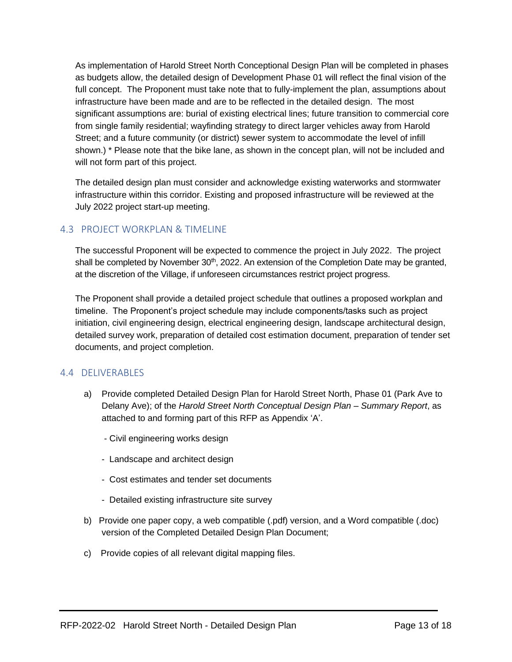As implementation of Harold Street North Conceptional Design Plan will be completed in phases as budgets allow, the detailed design of Development Phase 01 will reflect the final vision of the full concept. The Proponent must take note that to fully-implement the plan, assumptions about infrastructure have been made and are to be reflected in the detailed design. The most significant assumptions are: burial of existing electrical lines; future transition to commercial core from single family residential; wayfinding strategy to direct larger vehicles away from Harold Street; and a future community (or district) sewer system to accommodate the level of infill shown.) \* Please note that the bike lane, as shown in the concept plan, will not be included and will not form part of this project.

The detailed design plan must consider and acknowledge existing waterworks and stormwater infrastructure within this corridor. Existing and proposed infrastructure will be reviewed at the July 2022 project start-up meeting.

#### <span id="page-13-0"></span>4.3 PROJECT WORKPLAN & TIMELINE

The successful Proponent will be expected to commence the project in July 2022. The project shall be completed by November  $30<sup>th</sup>$ , 2022. An extension of the Completion Date may be granted, at the discretion of the Village, if unforeseen circumstances restrict project progress.

The Proponent shall provide a detailed project schedule that outlines a proposed workplan and timeline. The Proponent's project schedule may include components/tasks such as project initiation, civil engineering design, electrical engineering design, landscape architectural design, detailed survey work, preparation of detailed cost estimation document, preparation of tender set documents, and project completion.

#### <span id="page-13-1"></span>4.4 DELIVERABLES

- a) Provide completed Detailed Design Plan for Harold Street North, Phase 01 (Park Ave to Delany Ave); of the *Harold Street North Conceptual Design Plan – Summary Report*, as attached to and forming part of this RFP as Appendix 'A'.
	- Civil engineering works design
	- Landscape and architect design
	- Cost estimates and tender set documents
	- Detailed existing infrastructure site survey
- b) Provide one paper copy, a web compatible (.pdf) version, and a Word compatible (.doc) version of the Completed Detailed Design Plan Document;
- c) Provide copies of all relevant digital mapping files.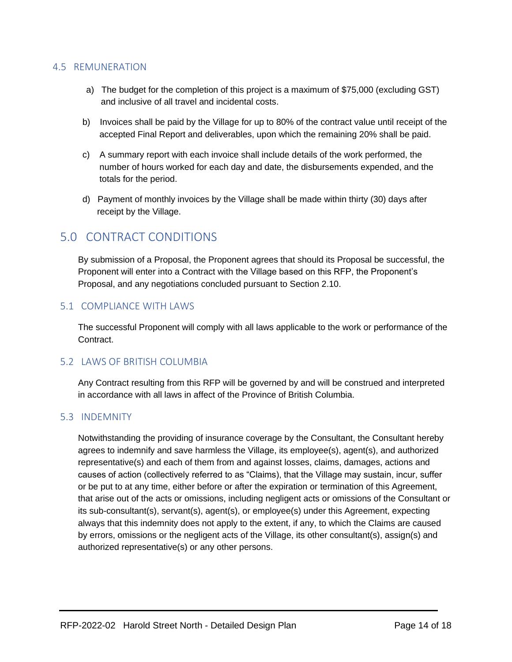#### <span id="page-14-0"></span>4.5 REMUNERATION

- a) The budget for the completion of this project is a maximum of \$75,000 (excluding GST) and inclusive of all travel and incidental costs.
- b) Invoices shall be paid by the Village for up to 80% of the contract value until receipt of the accepted Final Report and deliverables, upon which the remaining 20% shall be paid.
- c) A summary report with each invoice shall include details of the work performed, the number of hours worked for each day and date, the disbursements expended, and the totals for the period.
- d) Payment of monthly invoices by the Village shall be made within thirty (30) days after receipt by the Village.

### <span id="page-14-1"></span>5.0 CONTRACT CONDITIONS

By submission of a Proposal, the Proponent agrees that should its Proposal be successful, the Proponent will enter into a Contract with the Village based on this RFP, the Proponent's Proposal, and any negotiations concluded pursuant to Section 2.10.

#### <span id="page-14-2"></span>5.1 COMPLIANCE WITH LAWS

The successful Proponent will comply with all laws applicable to the work or performance of the Contract.

#### <span id="page-14-3"></span>5.2 LAWS OF BRITISH COLUMBIA

Any Contract resulting from this RFP will be governed by and will be construed and interpreted in accordance with all laws in affect of the Province of British Columbia.

#### <span id="page-14-4"></span>5.3 INDEMNITY

Notwithstanding the providing of insurance coverage by the Consultant, the Consultant hereby agrees to indemnify and save harmless the Village, its employee(s), agent(s), and authorized representative(s) and each of them from and against losses, claims, damages, actions and causes of action (collectively referred to as "Claims), that the Village may sustain, incur, suffer or be put to at any time, either before or after the expiration or termination of this Agreement, that arise out of the acts or omissions, including negligent acts or omissions of the Consultant or its sub-consultant(s), servant(s), agent(s), or employee(s) under this Agreement, expecting always that this indemnity does not apply to the extent, if any, to which the Claims are caused by errors, omissions or the negligent acts of the Village, its other consultant(s), assign(s) and authorized representative(s) or any other persons.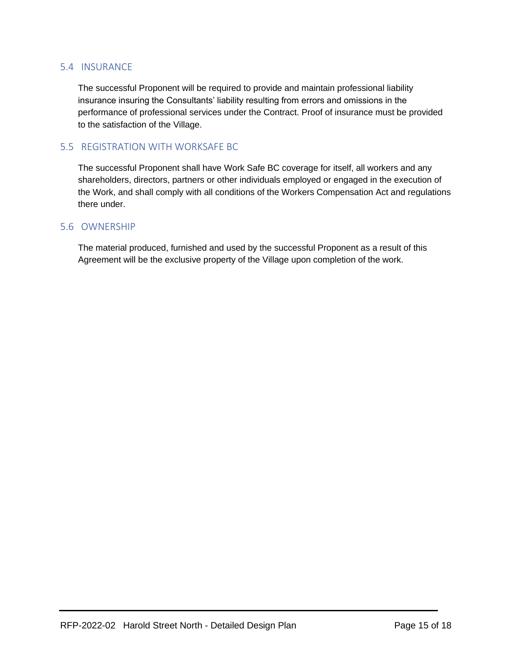#### <span id="page-15-0"></span>5.4 INSURANCE

The successful Proponent will be required to provide and maintain professional liability insurance insuring the Consultants' liability resulting from errors and omissions in the performance of professional services under the Contract. Proof of insurance must be provided to the satisfaction of the Village.

#### <span id="page-15-1"></span>5.5 REGISTRATION WITH WORKSAFE BC

The successful Proponent shall have Work Safe BC coverage for itself, all workers and any shareholders, directors, partners or other individuals employed or engaged in the execution of the Work, and shall comply with all conditions of the Workers Compensation Act and regulations there under.

#### <span id="page-15-2"></span>5.6 OWNERSHIP

The material produced, furnished and used by the successful Proponent as a result of this Agreement will be the exclusive property of the Village upon completion of the work.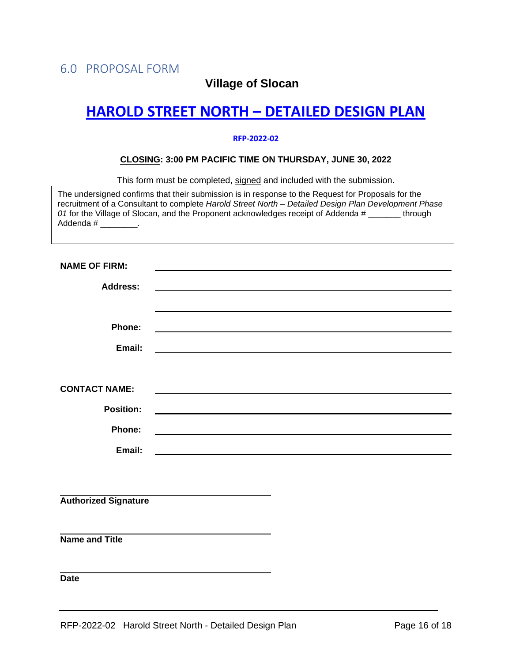### **Village of Slocan**

## <span id="page-16-0"></span>**HAROLD STREET NORTH – DETAILED DESIGN PLAN**

#### **RFP-2022-02**

#### **CLOSING: 3:00 PM PACIFIC TIME ON THURSDAY, JUNE 30, 2022**

This form must be completed, signed and included with the submission.

The undersigned confirms that their submission is in response to the Request for Proposals for the recruitment of a Consultant to complete *Harold Street North – Detailed Design Plan Development Phase*  01 for the Village of Slocan, and the Proponent acknowledges receipt of Addenda # through Addenda # \_\_\_\_\_\_\_\_\_.

| <b>NAME OF FIRM:</b>        |                                                                                  |
|-----------------------------|----------------------------------------------------------------------------------|
| <b>Address:</b>             |                                                                                  |
|                             | ,我们也不会有什么。""我们的人,我们也不会有什么?""我们的人,我们也不会有什么?""我们的人,我们也不会有什么?""我们的人,我们也不会有什么?""我们的人 |
| Phone:                      |                                                                                  |
| Email:                      |                                                                                  |
|                             |                                                                                  |
| <b>CONTACT NAME:</b>        |                                                                                  |
|                             |                                                                                  |
| <b>Position:</b>            |                                                                                  |
| Phone:                      |                                                                                  |
| Email:                      |                                                                                  |
|                             |                                                                                  |
|                             |                                                                                  |
| <b>Authorized Signature</b> |                                                                                  |
|                             |                                                                                  |
| <b>Name and Title</b>       |                                                                                  |
|                             |                                                                                  |
|                             |                                                                                  |
| <b>Date</b>                 |                                                                                  |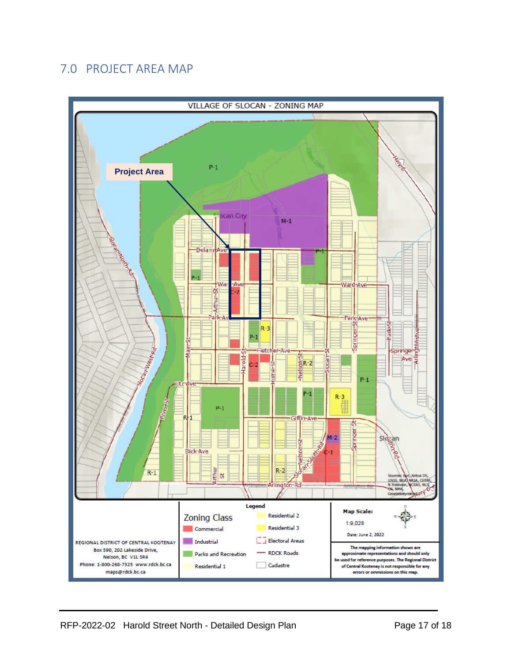## <span id="page-17-0"></span>7.0 PROJECT AREA MAP